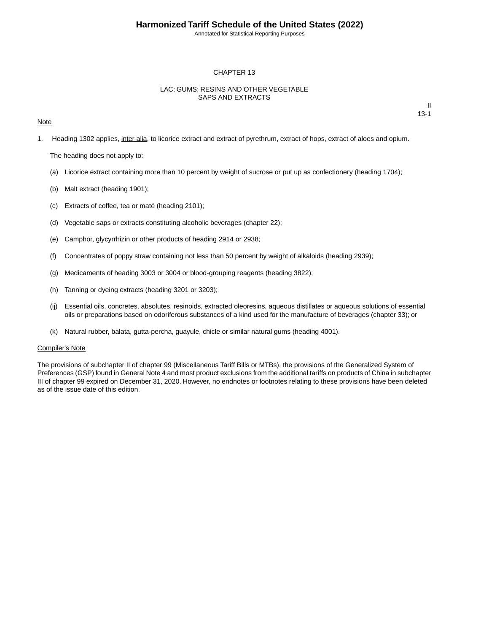Annotated for Statistical Reporting Purposes

### CHAPTER 13

## LAC; GUMS; RESINS AND OTHER VEGETABLE SAPS AND EXTRACTS

### **Note**

II 13-1

1. Heading 1302 applies, inter alia, to licorice extract and extract of pyrethrum, extract of hops, extract of aloes and opium.

The heading does not apply to:

- (a) Licorice extract containing more than 10 percent by weight of sucrose or put up as confectionery (heading 1704);
- (b) Malt extract (heading 1901);
- (c) Extracts of coffee, tea or maté (heading 2101);
- (d) Vegetable saps or extracts constituting alcoholic beverages (chapter 22);
- (e) Camphor, glycyrrhizin or other products of heading 2914 or 2938;
- (f) Concentrates of poppy straw containing not less than 50 percent by weight of alkaloids (heading 2939);
- (g) Medicaments of heading 3003 or 3004 or blood-grouping reagents (heading 3822);
- (h) Tanning or dyeing extracts (heading 3201 or 3203);
- (ij) Essential oils, concretes, absolutes, resinoids, extracted oleoresins, aqueous distillates or aqueous solutions of essential oils or preparations based on odoriferous substances of a kind used for the manufacture of beverages (chapter 33); or
- (k) Natural rubber, balata, gutta-percha, guayule, chicle or similar natural gums (heading 4001).

#### Compiler's Note

The provisions of subchapter II of chapter 99 (Miscellaneous Tariff Bills or MTBs), the provisions of the Generalized System of Preferences (GSP) found in General Note 4 and most product exclusions from the additional tariffs on products of China in subchapter III of chapter 99 expired on December 31, 2020. However, no endnotes or footnotes relating to these provisions have been deleted as of the issue date of this edition.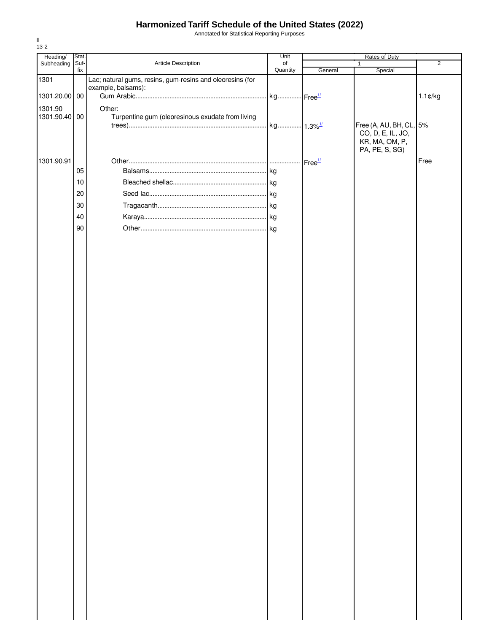Annotated for Statistical Reporting Purposes

| Heading/      | Stat. |                                                           | Unit                  |                    |                         |                   |
|---------------|-------|-----------------------------------------------------------|-----------------------|--------------------|-------------------------|-------------------|
| Subheading    | Suf-  | Article Description                                       | of                    |                    | Rates of Duty<br>1      | $\overline{2}$    |
|               | fix   |                                                           | Quantity              | General            | Special                 |                   |
| 1301          |       | Lac; natural gums, resins, gum-resins and oleoresins (for |                       |                    |                         |                   |
|               |       | example, balsams):                                        |                       |                    |                         |                   |
| 1301.20.00 00 |       |                                                           |                       |                    |                         | $1.1 \text{C/kg}$ |
|               |       |                                                           |                       |                    |                         |                   |
| 1301.90       |       | Other:                                                    |                       |                    |                         |                   |
| 1301.90.40 00 |       | Turpentine gum (oleoresinous exudate from living          |                       |                    |                         |                   |
|               |       |                                                           | kg 1.3% <sup>1/</sup> |                    | Free (A, AU, BH, CL, 5% |                   |
|               |       |                                                           |                       |                    | CO, D, E, IL, JO,       |                   |
|               |       |                                                           |                       |                    | KR, MA, OM, P,          |                   |
|               |       |                                                           |                       |                    | PA, PE, S, SG)          |                   |
| 1301.90.91    |       |                                                           |                       | Free <sup>1/</sup> |                         | Free              |
|               | 05    |                                                           |                       |                    |                         |                   |
|               |       |                                                           |                       |                    |                         |                   |
|               | $10$  |                                                           |                       |                    |                         |                   |
|               | 20    |                                                           |                       |                    |                         |                   |
|               | 30    |                                                           |                       |                    |                         |                   |
|               |       |                                                           |                       |                    |                         |                   |
|               | 40    |                                                           |                       |                    |                         |                   |
|               | 90    |                                                           |                       |                    |                         |                   |
|               |       |                                                           |                       |                    |                         |                   |
|               |       |                                                           |                       |                    |                         |                   |
|               |       |                                                           |                       |                    |                         |                   |
|               |       |                                                           |                       |                    |                         |                   |
|               |       |                                                           |                       |                    |                         |                   |
|               |       |                                                           |                       |                    |                         |                   |
|               |       |                                                           |                       |                    |                         |                   |
|               |       |                                                           |                       |                    |                         |                   |
|               |       |                                                           |                       |                    |                         |                   |
|               |       |                                                           |                       |                    |                         |                   |
|               |       |                                                           |                       |                    |                         |                   |
|               |       |                                                           |                       |                    |                         |                   |
|               |       |                                                           |                       |                    |                         |                   |
|               |       |                                                           |                       |                    |                         |                   |
|               |       |                                                           |                       |                    |                         |                   |
|               |       |                                                           |                       |                    |                         |                   |
|               |       |                                                           |                       |                    |                         |                   |
|               |       |                                                           |                       |                    |                         |                   |
|               |       |                                                           |                       |                    |                         |                   |
|               |       |                                                           |                       |                    |                         |                   |
|               |       |                                                           |                       |                    |                         |                   |
|               |       |                                                           |                       |                    |                         |                   |
|               |       |                                                           |                       |                    |                         |                   |
|               |       |                                                           |                       |                    |                         |                   |
|               |       |                                                           |                       |                    |                         |                   |
|               |       |                                                           |                       |                    |                         |                   |
|               |       |                                                           |                       |                    |                         |                   |
|               |       |                                                           |                       |                    |                         |                   |
|               |       |                                                           |                       |                    |                         |                   |
|               |       |                                                           |                       |                    |                         |                   |
|               |       |                                                           |                       |                    |                         |                   |
|               |       |                                                           |                       |                    |                         |                   |
|               |       |                                                           |                       |                    |                         |                   |
|               |       |                                                           |                       |                    |                         |                   |
|               |       |                                                           |                       |                    |                         |                   |
|               |       |                                                           |                       |                    |                         |                   |
|               |       |                                                           |                       |                    |                         |                   |
|               |       |                                                           |                       |                    |                         |                   |
|               |       |                                                           |                       |                    |                         |                   |
|               |       |                                                           |                       |                    |                         |                   |
|               |       |                                                           |                       |                    |                         |                   |
|               |       |                                                           |                       |                    |                         |                   |
|               |       |                                                           |                       |                    |                         |                   |
|               |       |                                                           |                       |                    |                         |                   |
|               |       |                                                           |                       |                    |                         |                   |
|               |       |                                                           |                       |                    |                         |                   |
|               |       |                                                           |                       |                    |                         |                   |
|               |       |                                                           |                       |                    |                         |                   |
|               |       |                                                           |                       |                    |                         |                   |

II 13-2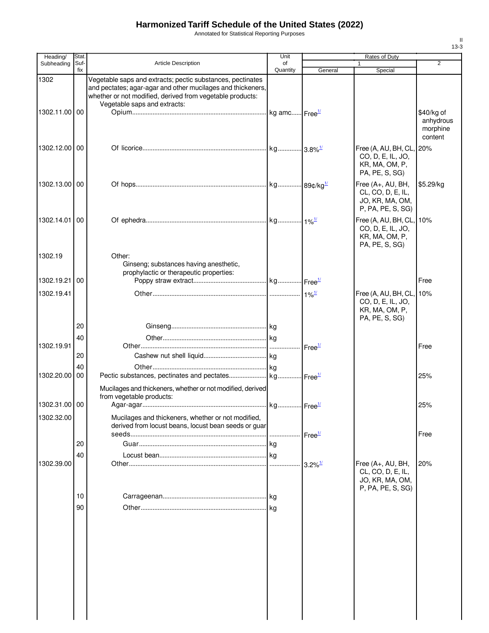Annotated for Statistical Reporting Purposes

| Heading/      | Stat. |                                                                                                                                                                                                                        | Unit     | Rates of Duty              |                                                                                   |                                                |
|---------------|-------|------------------------------------------------------------------------------------------------------------------------------------------------------------------------------------------------------------------------|----------|----------------------------|-----------------------------------------------------------------------------------|------------------------------------------------|
| Subheading    | Suf-  | Article Description                                                                                                                                                                                                    | of       |                            |                                                                                   | 2                                              |
|               | fix   |                                                                                                                                                                                                                        | Quantity | General                    | Special                                                                           |                                                |
| 1302          |       | Vegetable saps and extracts; pectic substances, pectinates<br>and pectates; agar-agar and other mucilages and thickeners,<br>whether or not modified, derived from vegetable products:<br>Vegetable saps and extracts: |          |                            |                                                                                   |                                                |
| 1302.11.00 00 |       |                                                                                                                                                                                                                        |          |                            |                                                                                   | \$40/kg of<br>anhydrous<br>morphine<br>content |
| 1302.12.00    | 00    |                                                                                                                                                                                                                        |          |                            | Free (A, AU, BH, CL,<br>CO, D, E, IL, JO,<br>KR, MA, OM, P,<br>PA, PE, S, SG)     | 20%                                            |
| 1302.13.00 00 |       |                                                                                                                                                                                                                        |          |                            | Free (A+, AU, BH,<br>CL, CO, D, E, IL,<br>JO, KR, MA, OM,<br>P, PA, PE, S, SG)    | \$5.29/kg                                      |
| 1302.14.01    | 00    |                                                                                                                                                                                                                        |          |                            | Free (A, AU, BH, CL,<br>CO, D, E, IL, JO,<br>KR, MA, OM, P,<br>PA, PE, S, SG)     | 10%                                            |
| 1302.19       |       | Other:<br>Ginseng; substances having anesthetic,<br>prophylactic or therapeutic properties:                                                                                                                            |          |                            |                                                                                   |                                                |
| 1302.19.21    | 00    |                                                                                                                                                                                                                        |          |                            |                                                                                   | Free                                           |
| 1302.19.41    |       |                                                                                                                                                                                                                        |          |                            | Free (A, AU, BH, CL, 10%<br>CO, D, E, IL, JO,<br>KR, MA, OM, P,<br>PA, PE, S, SG) |                                                |
|               | 20    |                                                                                                                                                                                                                        |          |                            |                                                                                   |                                                |
|               | 40    |                                                                                                                                                                                                                        |          |                            |                                                                                   |                                                |
| 1302.19.91    |       |                                                                                                                                                                                                                        |          | $\cdot$ Free $\frac{1}{2}$ |                                                                                   | Free                                           |
|               | 20    |                                                                                                                                                                                                                        |          |                            |                                                                                   |                                                |
|               | 40    |                                                                                                                                                                                                                        |          |                            |                                                                                   |                                                |
| 1302.20.00    | 00    |                                                                                                                                                                                                                        |          |                            |                                                                                   | 25%                                            |
|               |       | Mucilages and thickeners, whether or not modified, derived                                                                                                                                                             |          |                            |                                                                                   |                                                |
|               |       | from vegetable products:                                                                                                                                                                                               |          |                            |                                                                                   |                                                |
| 1302.31.00 00 |       |                                                                                                                                                                                                                        |          |                            |                                                                                   | 25%                                            |
| 1302.32.00    |       | Mucilages and thickeners, whether or not modified,<br>derived from locust beans, locust bean seeds or guar                                                                                                             |          |                            |                                                                                   |                                                |
|               | 20    |                                                                                                                                                                                                                        |          | Free <sup>1/</sup>         |                                                                                   | Free                                           |
|               |       |                                                                                                                                                                                                                        | l kg     |                            |                                                                                   |                                                |
| 1302.39.00    | 40    |                                                                                                                                                                                                                        |          | $3.2\%$ <sup>1/</sup>      | Free (A+, AU, BH,<br>CL, CO, D, E, IL,<br>JO, KR, MA, OM,                         | 20%                                            |
|               |       |                                                                                                                                                                                                                        |          |                            | P, PA, PE, S, SG)                                                                 |                                                |
|               | 10    |                                                                                                                                                                                                                        | .lkg     |                            |                                                                                   |                                                |
|               | 90    |                                                                                                                                                                                                                        |          |                            |                                                                                   |                                                |
|               |       |                                                                                                                                                                                                                        |          |                            |                                                                                   |                                                |

II 13-3